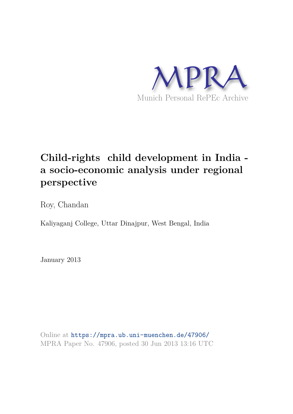

# **Child-rights child development in India a socio-economic analysis under regional perspective**

Roy, Chandan

Kaliyaganj College, Uttar Dinajpur, West Bengal, India

January 2013

Online at https://mpra.ub.uni-muenchen.de/47906/ MPRA Paper No. 47906, posted 30 Jun 2013 13:16 UTC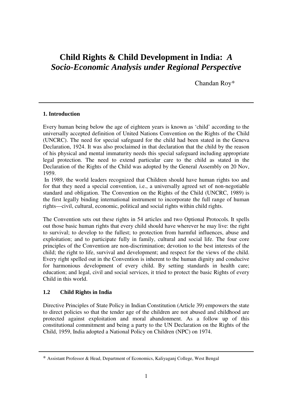## **Child Rights & Child Development in India:** *A Socio-Economic Analysis under Regional Perspective*

Chandan Roy\*

#### **1. Introduction**

Every human being below the age of eighteen years is known as 'child' according to the universally accepted definition of United Nations Convention on the Rights of the Child (UNCRC). The need for special safeguard for the child had been stated in the Geneva Declaration, 1924. It was also proclaimed in that declaration that the child by the reason of his physical and mental immaturity needs this special safeguard including appropriate legal protection. The need to extend particular care to the child as stated in the Declaration of the Rights of the Child was adopted by the General Assembly on 20 Nov, 1959.

 In 1989, the world leaders recognized that Children should have human rights too and for that they need a special convention, i.e., a universally agreed set of non-negotiable standard and obligation. The Convention on the Rights of the Child (UNCRC, 1989) is the first legally binding international instrument to incorporate the full range of human rights—civil, cultural, economic, political and social rights within child rights.

The Convention sets out these rights in 54 articles and two Optional Protocols. It spells out those basic human rights that every child should have wherever he may live: the right to survival; to develop to the fullest; to protection from harmful influences, abuse and exploitation; and to participate fully in family, cultural and social life. The four core principles of the Convention are non-discrimination; devotion to the best interests of the child; the right to life, survival and development; and respect for the views of the child. Every right spelled out in the Convention is inherent to the human dignity and conducive for harmonious development of every child. By setting standards in health care; education; and legal, civil and social services, it tried to protect the basic Rights of every Child in this world.

#### **1.2 Child Rights in India**

Directive Principles of State Policy in Indian Constitution (Article 39) empowers the state to direct policies so that the tender age of the children are not abused and childhood are protected against exploitation and moral abandonment. As a follow up of this constitutional commitment and being a party to the UN Declaration on the Rights of the Child, 1959, India adopted a National Policy on Children (NPC) on 1974.

<sup>\*</sup> Assistant Professor & Head, Department of Economics, Kaliyaganj College, West Bengal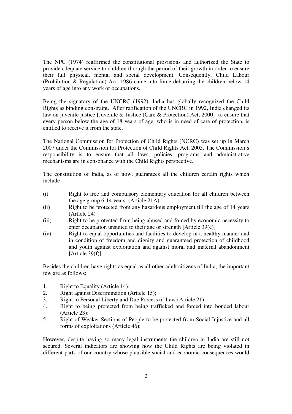The NPC (1974) reaffirmed the constitutional provisions and authorized the State to provide adequate service to children through the period of their growth in order to ensure their full physical, mental and social development. Consequently, Child Labour (Prohibition & Regulation) Act, 1986 came into force debarring the children below 14 years of age into any work or occupations.

Being the signatory of the UNCRC (1992), India has globally recognized the Child Rights as binding constraint. After ratification of the UNCRC in 1992, India changed its law on juvenile justice [Juvenile & Justice (Care & Protection) Act, 2000] to ensure that every person below the age of 18 years of age, who is in need of care of protection, is entitled to receive it from the state.

The National Commission for Protection of Child Rights (NCRC) was set up in March 2007 under the Commission for Protection of Child Rights Act, 2005. The Commission's responsibility is to ensure that all laws, policies, programs and administrative mechanisms are in consonance with the Child Rights perspective.

The constitution of India, as of now, guarantees all the children certain rights which include

- (i) Right to free and compulsory elementary education for all children between the age group 6-14 years. (Article 21A)
- (ii) Right to be protected from any hazardous employment till the age of 14 years (Article 24)
- (iii) Right to be protected from being abused and forced by economic necessity to enter occupation unsuited to their age or strength [Article 39(e)]
- (iv) Right to equal opportunities and facilities to develop in a healthy manner and in condition of freedom and dignity and guaranteed protection of childhood and youth against exploitation and against moral and material abandonment  $[Article 39(f)]$

Besides the children have rights as equal as all other adult citizens of India, the important few are as follows:

- 1. Right to Equality (Article 14);
- 2. Right against Discrimination (Article 15);
- 3. Right to Personal Liberty and Due Process of Law (Article 21)
- 4. Right to being protected from being trafficked and forced into bonded labour (Article 23);
- 5. Right of Weaker Sections of People to be protected from Social Injustice and all forms of exploitations (Article 46);

However, despite having so many legal instruments the children in India are still not secured. Several indicators are showing how the Child Rights are being violated in different parts of our country whose plausible social and economic consequences would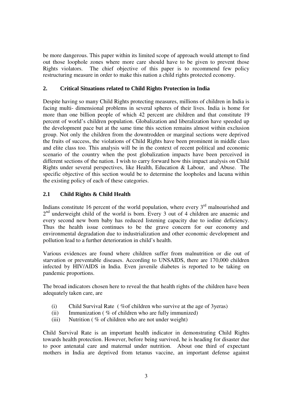be more dangerous. This paper within its limited scope of approach would attempt to find out those loophole zones where more care should have to be given to prevent those Rights violators. The chief objective of this paper is to recommend few policy restructuring measure in order to make this nation a child rights protected economy.

#### **2. Critical Situations related to Child Rights Protection in India**

Despite having so many Child Rights protecting measures, millions of children in India is facing multi- dimensional problems in several spheres of their lives. India is home for more than one billion people of which 42 percent are children and that constitute 19 percent of world's children population. Globalization and liberalization have speeded up the development pace but at the same time this section remains almost within exclusion group. Not only the children from the downtrodden or marginal sections were deprived the fruits of success, the violations of Child Rights have been prominent in middle class and elite class too. This analysis will be in the context of recent political and economic scenario of the country when the post globalization impacts have been perceived in different sections of the nation. I wish to carry forward how this impact analysis on Child Rights under several perspectives, like Health, Education & Labour, and Abuse. The specific objective of this section would be to determine the loopholes and lacuna within the existing policy of each of these categories.

### **2.1 Child Rights & Child Health**

Indians constitute 16 percent of the world population, where every  $3<sup>rd</sup>$  malnourished and 2<sup>nd</sup> underweight child of the world is born. Every 3 out of 4 children are anaemic and every second new born baby has reduced listening capacity due to iodine deficiency. Thus the health issue continues to be the grave concern for our economy and environmental degradation due to industrialization and other economic development and pollution lead to a further deterioration in child's health.

Various evidences are found where children suffer from malnutrition or die out of starvation or preventable diseases. According to UNSAIDS, there are 170,000 children infected by HIV/AIDS in India. Even juvenile diabetes is reported to be taking on pandemic proportions.

The broad indicators chosen here to reveal the that health rights of the children have been adequately taken care, are

- (i) Child Survival Rate ( %of children who survive at the age of 3yeras)
- (ii) Immunization ( % of children who are fully immunized)
- (iii) Nutrition ( % of children who are not under weight)

Child Survival Rate is an important health indicator in demonstrating Child Rights towards health protection. However, before being survived, he is heading for disaster due to poor antenatal care and maternal under nutrition. About one third of expectant mothers in India are deprived from tetanus vaccine, an important defense against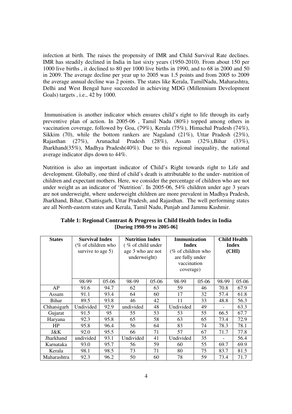infection at birth. The raises the propensity of IMR and Child Survival Rate declines. IMR has steadily declined in India in last sixty years (1950-2010). From about 150 per 1000 live births , it declined to 80 per 1000 live births in 1990, and to 68 in 2000 and 50 in 2009. The average decline per year up to 2005 was 1.5 points and from 2005 to 2009 the average annual decline was 2 points. The states like Kerala, TamilNadu, Maharashtra, Delhi and West Bengal have succeeded in achieving MDG (Millennium Development Goals) targets , i.e., 42 by 1000.

 Immunisation is another indicator which ensures child's right to life through its early preventive plan of action. In 2005-06 , Tamil Nadu (80%) topped among others in vaccination coverage, followed by Goa, (79%), Kerala (75%), Himachal Pradesh (74%), Sikkim (70), while the bottom rankers are Nagaland (21%), Uttar Pradesh (23%), Rajasthan (27%), Arunachal Pradesh (28%), Assam (32%), Bihar (33%), Jharkhand(35%), Madhya Pradesh(40%). Due to this regional inequality, the national average indicator dips down to 44%.

Nutrition is also an important indicator of Child's Right towards right to Life and development. Globally, one third of child's death is attributable to the under- nutrition of children and expectant mothers. Here, we consider the percentage of children who are not under weight as an indicator of 'Nutrition'. In 2005-06, 54% children under age 3 years are not underweight, where underweight children are more prevalent in Madhya Pradesh, Jharkhand, Bihar, Chattisgarh, Uttar Pradesh, and Rajasthan. The well performing states are all North-eastern states and Kerala, Tamil Nadu, Punjab and Jammu Kashmir.

| <b>States</b> | <b>Survival Index</b> |         | <b>Nutrition Index</b> |         | Immunization       |         | <b>Child Health</b> |         |
|---------------|-----------------------|---------|------------------------|---------|--------------------|---------|---------------------|---------|
|               | (% of children who    |         | (% of child under      |         | <b>Index</b>       |         | Index               |         |
|               | survive to age 5)     |         | age 3 who are not      |         | (% of children who |         | (CHI)               |         |
|               |                       |         | underweight)           |         | are fully under    |         |                     |         |
|               |                       |         |                        |         | vaccination        |         |                     |         |
|               |                       |         |                        |         | coverage)          |         |                     |         |
|               |                       |         |                        |         |                    |         |                     |         |
|               | 98-99                 | $05-06$ | 98-99                  | $05-06$ | 98-99              | $05-06$ | 98-99               | $05-06$ |
| AP            | 91.6                  | 94.7    | 62                     | 63      | 59                 | 46      | 70.8                | 67.9    |
| Assam         | 91.1                  | 93.4    | 64                     | 60      | 17                 | 32      | 57.4                | 61.8    |
| Bihar         | 89.5                  | 93.8    | 46                     | 42      | 11                 | 33      | 48.8                | 56.3    |
| Chhatsigarh   | Undivided             | 92.9    | undivided              | 48      | Undivided          | 49      |                     | 63.3    |
| Gujarat       | 91.5                  | 95      | 55                     | 53      | 53                 | 55      | 66.5                | 67.7    |
| Haryana       | 92.3                  | 95.8    | 65                     | 58      | 63                 | 65      | 73.4                | 72.9    |
| HP            | 95.8                  | 96.4    | 56                     | 64      | 83                 | 74      | 78.3                | 78.1    |
| J&K           | 92.0                  | 95.5    | 66                     | 71      | 57                 | 67      | 71.7                | 77.8    |
| Jharkhand     | undivided             | 93.1    | Undivided              | 41      | Undivided          | 35      |                     | 56.4    |
| Karnataka     | 93.0                  | 95.7    | 56                     | 59      | 60                 | 55      | 69.7                | 69.9    |
| Kerala        | 98.1                  | 98.5    | 73                     | 71      | 80                 | 75      | 83.7                | 81.5    |
| Maharashtra   | 92.3                  | 96.2    | 50                     | 60      | 78                 | 59      | 73.4                | 71.7    |

**Table 1: Regional Contrast & Progress in Child Health Index in India [During 1998-99 to 2005-06]**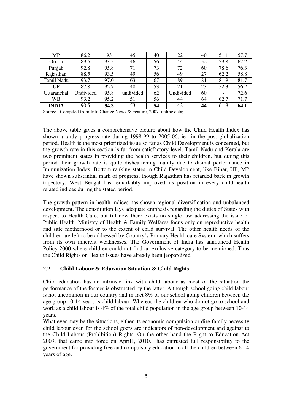| MP           | 86.2      | 93   | 45        | 40 | 22        | 40 | 51.1                     | 57.7 |
|--------------|-----------|------|-----------|----|-----------|----|--------------------------|------|
| Orissa       | 89.6      | 93.5 | 46        | 56 | 44        | 52 | 59.8                     | 67.2 |
| Punjab       | 92.8      | 95.8 | 71        | 73 | 72        | 60 | 78.6                     | 76.3 |
| Rajasthan    | 88.5      | 93.5 | 49        | 56 | 49        | 27 | 62.2                     | 58.8 |
| Tamil Nadu   | 93.7      | 97.0 | 63        | 67 | 89        | 81 | 81.9                     | 81.7 |
| UP           | 87.8      | 92.7 | 48        | 53 | 21        | 23 | 52.3                     | 56.2 |
| Uttaranchal  | Undivided | 95.8 | undivided | 62 | Undivided | 60 | $\overline{\phantom{a}}$ | 72.6 |
| WВ           | 93.2      | 95.2 | 51        | 56 | 44        | 64 | 62.7                     | 71.7 |
| <b>INDIA</b> | 90.5      | 94.3 | 53        | 54 | 42        | 44 | 61.8                     | 64.1 |

Source : Compiled from Info Change News & Feature, 2007, online data;

The above table gives a comprehensive picture about how the Child Health Index has shown a tardy progress rate during 1998-99 to 2005-06, ie., in the post globalization period. Health is the most prioritized issue so far as Child Development is concerned, but the growth rate in this section is far from satisfactory level. Tamil Nadu and Kerala are two prominent states in providing the health services to their children, but during this period their growth rate is quite disheartening mainly due to dismal performance in Immunization Index. Bottom ranking states in Child Development, like Bihar, UP, MP have shown substantial mark of progress, though Rajasthan has retarded back in growth trajectory. West Bengal has remarkably improved its position in every child-health related indices during the stated period.

The growth pattern in health indices has shown regional diversification and unbalanced development. The constitution lays adequate emphasis regarding the duties of States with respect to Health Care, but till now there exists no single law addressing the issue of Public Health. Ministry of Health & Family Welfares focus only on reproductive health and safe motherhood or to the extent of child survival. The other health needs of the children are left to be addressed by Country's Primary Health care System, which suffers from its own inherent weaknesses. The Government of India has announced Health Policy 2000 where children could not find an exclusive category to be mentioned. Thus the Child Rights on Health issues have already been jeopardized.

#### **2.2 Child Labour & Education Situation & Child Rights**

Child education has an intrinsic link with child labour as most of the situation the performance of the former is obstructed by the latter. Although school going child labour is not uncommon in our country and in fact 8% of our school going children between the age group 10-14 years is child labour. Whereas the children who do not go to school and work as a child labour is 4% of the total child population in the age group between 10-14 years.

What ever may be the situations, either its economic compulsion or dire family necessity child labour even for the school goers are indicators of non-development and against to the Child Labour (Prohibition) Rights. On the other hand the Right to Education Act 2009, that came into force on April1, 2010, has entrusted full responsibility to the government for providing free and compulsory education to all the children between 6-14 years of age.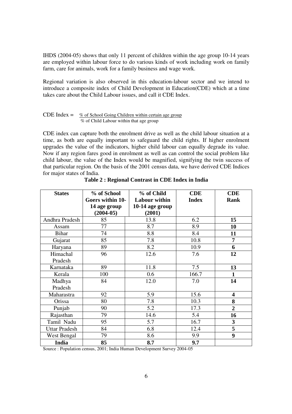IHDS (2004-05) shows that only 11 percent of children within the age group 10-14 years are employed within labour force to do various kinds of work including work on family farm, care for animals, work for a family business and wage work.

Regional variation is also observed in this education-labour sector and we intend to introduce a composite index of Child Development in Education(CDE) which at a time takes care about the Child Labour issues, and call it CDE Index.

#### CDE Index  $=$  % of School Going Children within certain age group % of Child Labour within that age group

CDE index can capture both the enrolment drive as well as the child labour situation at a time, as both are equally important to safeguard the child rights. If higher enrolment upgrades the value of the indicators, higher child labour can equally degrade its value. Now if any region fares good in enrolment as well as can control the social problem like child labour, the value of the Index would be magnified, signifying the twin success of that particular region. On the basis of the 2001 census data, we have derived CDE Indices for major states of India.

| <b>States</b>        | % of School      | % of Child           | <b>CDE</b>   | <b>CDE</b>              |
|----------------------|------------------|----------------------|--------------|-------------------------|
|                      | Goers within 10- | <b>Labour within</b> | <b>Index</b> | <b>Rank</b>             |
|                      | 14 age group     | 10-14 age group      |              |                         |
|                      | $(2004-05)$      | (2001)               |              |                         |
| Andhra Pradesh       | 85               | 13.8                 | 6.2          | 15                      |
| Assam                | 77               | 8.7                  | 8.9          | 10                      |
| <b>Bihar</b>         | 74               | 8.8                  | 8.4          | 11                      |
| Gujarat              | 85               | 7.8                  | 10.8         | 7                       |
| Haryana              | 89               | 8.2                  | 10.9         | 6                       |
| Himachal             | 96               | 12.6                 | 7.6          | 12                      |
| Pradesh              |                  |                      |              |                         |
| Karnataka            | 89               | 11.8                 | 7.5          | 13                      |
| Kerala               | 100              | 0.6                  | 166.7        | $\mathbf{1}$            |
| Madhya               | 84               | 12.0                 | 7.0          | 14                      |
| Pradesh              |                  |                      |              |                         |
| Maharastra           | 92               | 5.9                  | 15.6         | $\overline{\mathbf{4}}$ |
| Orissa               | 80               | 7.8                  | 10.3         | 8                       |
| Punjab               | 90               | 5.2                  | 17.3         | $\overline{2}$          |
| Rajasthan            | 79               | 14.6                 | 5.4          | 16                      |
| Tamil Nadu           | 95               | 5.7                  | 16.7         | 3                       |
| <b>Uttar Pradesh</b> | 84               | 6.8                  | 12.4         | $\overline{\mathbf{5}}$ |
| <b>West Bengal</b>   | 79               | 8.6                  | 9.9          | 9                       |
| India                | 85               | 8.7                  | 9.7          |                         |

|  | Table 2: Regional Contrast in CDE Index in India |  |
|--|--------------------------------------------------|--|
|  |                                                  |  |

Source : Population census, 2001; India Human Development Survey 2004-05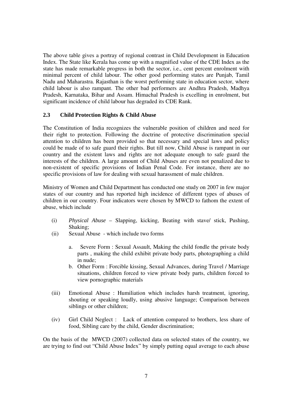The above table gives a portray of regional contrast in Child Development in Education Index. The State like Kerala has come up with a magnified value of the CDE Index as the state has made remarkable progress in both the sector, i.e., cent percent enrolment with minimal percent of child labour. The other good performing states are Punjab, Tamil Nadu and Maharastra. Rajasthan is the worst performing state in education sector, where child labour is also rampant. The other bad performers are Andhra Pradesh, Madhya Pradesh, Karnataka, Bihar and Assam. Himachal Pradesh is excelling in enrolment, but significant incidence of child labour has degraded its CDE Rank.

#### **2.3 Child Protection Rights & Child Abuse**

The Constitution of India recognizes the vulnerable position of children and need for their right to protection. Following the doctrine of protective discrimination special attention to children has been provided so that necessary and special laws and policy could be made of to safe guard their rights. But till now, Child Abuse is rampant in our country and the existent laws and rights are not adequate enough to safe guard the interests of the children. A large amount of Child Abuses are even not penalized due to non-existent of specific provisions of Indian Penal Code. For instance, there are no specific provisions of law for dealing with sexual harassment of male children.

Ministry of Women and Child Department has conducted one study on 2007 in few major states of our country and has reported high incidence of different types of abuses of children in our country. Four indicators were chosen by MWCD to fathom the extent of abuse, which include

- (i) *Physical Abuse* Slapping, kicking, Beating with stave/ stick, Pushing, Shaking;
- (ii) Sexual Abuse which include two forms
	- a. Severe Form : Sexual Assault, Making the child fondle the private body parts , making the child exhibit private body parts, photographing a child in nude;
	- b. Other Form : Forcible kissing, Sexual Advances, during Travel / Marriage situations, children forced to view private body parts, children forced to view pornographic materials
- (iii) Emotional Abuse : Humiliation which includes harsh treatment, ignoring, shouting or speaking loudly, using abusive language; Comparison between siblings or other children;
- (iv) Girl Child Neglect : Lack of attention compared to brothers, less share of food, Sibling care by the child, Gender discrimination;

On the basis of the MWCD (2007) collected data on selected states of the country, we are trying to find out "Child Abuse Index" by simply putting equal average to each abuse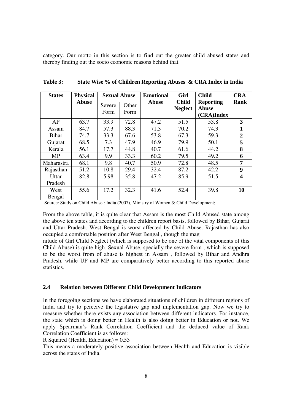category. Our motto in this section is to find out the greater child abused states and thereby finding out the socio economic reasons behind that.

| <b>States</b>    | <b>Physical</b> | <b>Sexual Abuse</b> |               | <b>Emotional</b> | Girl                           | <b>Child</b>                                   | <b>CRA</b>     |
|------------------|-----------------|---------------------|---------------|------------------|--------------------------------|------------------------------------------------|----------------|
|                  | Abuse           | Severe<br>Form      | Other<br>Form | <b>Abuse</b>     | <b>Child</b><br><b>Neglect</b> | <b>Reporting</b><br><b>Abuse</b><br>(CRA)Index | Rank           |
| AP               | 63.7            | 33.9                | 72.8          | 47.2             | 51.5                           | 53.8                                           | 3              |
| Assam            | 84.7            | 57.3                | 88.3          | 71.3             | 70.2                           | 74.3                                           | 1              |
| <b>Bihar</b>     | 74.7            | 33.3                | 67.6          | 53.8             | 67.3                           | 59.3                                           | $\overline{2}$ |
| Gujarat          | 68.5            | 7.3                 | 47.9          | 46.9             | 79.9                           | 50.1                                           | 5              |
| Kerala           | 56.1            | 17.7                | 44.8          | 40.7             | 61.6                           | 44.2                                           | 8              |
| <b>MP</b>        | 63.4            | 9.9                 | 33.3          | 60.2             | 79.5                           | 49.2                                           | 6              |
| Maharastra       | 68.1            | 9.8                 | 40.7          | 50.9             | 72.8                           | 48.5                                           | 7              |
| Rajasthan        | 51.2            | 10.8                | 29.4          | 32.4             | 87.2                           | 42.2                                           | 9              |
| Uttar<br>Pradesh | 82.8            | 5.98                | 35.8          | 47.2             | 85.9                           | 51.5                                           | 4              |
| West<br>Bengal   | 55.6            | 17.2                | 32.3          | 41.6             | 52.4                           | 39.8                                           | 10             |

**Table 3: State Wise % of Children Reporting Abuses & CRA Index in India** 

Source: Study on Child Abuse : India (2007), Ministry of Women & Child Development;

From the above table, it is quite clear that Assam is the most Child Abused state among the above ten states and according to the children report basis, followed by Bihar, Gujarat and Uttar Pradesh. West Bengal is worst affected by Child Abuse. Rajasthan has also occupied a comfortable position after West Bengal , though the mag

nitude of Girl Child Neglect (which is supposed to be one of the vital components of this Child Abuse) is quite high. Sexual Abuse, specially the severe form , which is supposed to be the worst from of abuse is highest in Assam , followed by Bihar and Andhra Pradesh, while UP and MP are comparatively better according to this reported abuse statistics.

#### **2.4 Relation between Different Child Development Indicators**

In the foregoing sections we have elaborated situations of children in different regions of India and try to perceive the legislative gap and implementation gap. Now we try to measure whether there exists any association between different indicators. For instance, the state which is doing better in Health is also doing better in Education or not. We apply Spearman's Rank Correlation Coefficient and the deduced value of Rank Correlation Coefficient is as follows:

R Squared (Health, Education) =  $0.53$ 

This means a moderately positive association between Health and Education is visible across the states of India.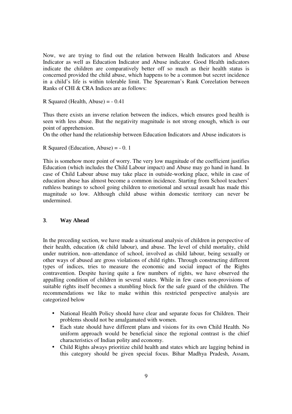Now, we are trying to find out the relation between Health Indicators and Abuse Indicator as well as Education Indicator and Abuse indicator. Good Health indicators indicate the children are comparatively better off so much as their health status is concerned provided the child abuse, which happens to be a common but secret incidence in a child's life is within tolerable limit. The Speareman's Rank Coreelation between Ranks of CHI & CRA Indices are as follows:

R Squared (Health, Abuse) = - 0.41

Thus there exists an inverse relation between the indices, which ensures good health is seen with less abuse. But the negativity magnitude is not strong enough, which is our point of apprehension.

On the other hand the relationship between Education Indicators and Abuse indicators is

R Squared (Education, Abuse) = - 0. 1

This is somehow more point of worry. The very low magnitude of the coefficient justifies Education (which includes the Child Labour impact) and Abuse may go hand in hand. In case of Child Labour abuse may take place in outside-working place, while in case of education abuse has almost become a common incidence. Starting from School teachers' ruthless beatings to school going children to emotional and sexual assault has made this magnitude so low. Although child abuse within domestic territory can never be undermined.

#### **3**. **Way Ahead**

In the preceding section, we have made a situational analysis of children in perspective of their health, education (& child labour), and abuse. The level of child mortality, child under nutrition, non–attendance of school, involved as child labour, being sexually or other ways of abused are gross violations of child rights. Through constructing different types of indices, tries to measure the economic and social impact of the Rights contravention. Despite having quite a few numbers of rights, we have observed the appalling condition of children in several states. While in few cases non-provisions of suitable rights itself becomes a stumbling block for the safe guard of the children. The recommendations we like to make within this restricted perspective analysis are categorized below

- National Health Policy should have clear and separate focus for Children. Their problems should not be amalgamated with women.
- Each state should have different plans and visions for its own Child Health. No uniform approach would be beneficial since the regional contrast is the chief characteristics of Indian polity and economy.
- Child Rights always prioritize child health and states which are lagging behind in this category should be given special focus. Bihar Madhya Pradesh, Assam,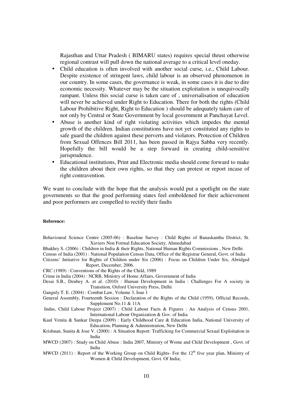Rajasthan and Uttar Pradesh ( BIMARU states) requires special thrust otherwise regional contrast will pull down the national average to a critical level oneday.

- Child education is often involved with another social curse, i.e., Child Labour. Despite existence of stringent laws, child labour is an observed phenomenon in our country. In some cases, the governance is weak, in some cases it is due to dire economic necessity. Whatever may be the situation exploitation is unequivocally rampant. Unless this social curse is taken care of , universalisation of education will never be achieved under Right to Education. There for both the rights (Child Labour Prohibitive Right, Right to Education ) should be adequately taken care of not only by Central or State Government by local government at Panchayat Level.
- Abuse is another kind of right violating activities which impedes the mental growth of the children. Indian constitutions have not yet constituted any rights to safe guard the children against these perverts and violators. Protection of Children from Sexual Offences Bill 2011, has been passed in Rajya Sabha very recently. Hopefully the bill would be a step forward in creating child-sensitive jurisprudence.
- Educational institutions, Print and Electronic media should come forward to make the children about their own rights, so that they can protest or report incase of right contravention.

We want to conclude with the hope that the analysis would put a spotlight on the state governments so that the good performing states feel emboldened for their achievement and poor performers are compelled to rectify their faults

#### **Reference:**

- Behavioural Science Centre (2005-06) : Baseline Survey : Child Rights of Banaskantha District, St. Xaviers Non Formal Education Society, Ahmedabad
- Bhakhry S. (2006) : Children in India & their Rights, National Human Rights Commissions , New Delhi
- Census of India (2001) : National Population Census Data, Office of the Registrar General, Govt. of India
- Citizens' Initiative for Rights of Children under Six (2006) : Focus on Children Under Six, Abridged Report, December, 2006.

CRC (1989) : Conventions of the Rights of the Child, 1989

- Crime in India (2004) : NCRB, Ministry of Home Affairs, Government of India
- Desai S.B., Deubey A. et al. (2010) : Human Development in India : Challenges For A society in Transition, Oxford University Press, Delhi
- Ganguly T. E. (2004) : Combat Law, Volume 3, Isue 1
- General Assembly, Fourteenth Session : Declaration of the Rights of the Child (1959), Official Records, Supplement No.11 & 11A
- Indus, Child Labour Project (2007) : Child Labour Facts & Figures : An Analysis of Census 2001, International Labour Organization & Gov. of India
- Kaul Venita & Sankar Deepa (2009) : Early Childhood Care & Education India, National University of Education, Planning & Administration, New Delhi
- Krishnan, Sunita & Jose V. (2000) : A Situation Report: Trafficking for Commercial Sexual Exploitation in India
- MWCD (2007) : Study on Child Abuse : India 2007, Ministry of Wome and Child Development , Govt. of India
- MWCD (2011) : Report of the Working Group on Child Rights- For the  $12<sup>th</sup>$  five year plan, Ministry of Women & Child Development, Govt. Of India;